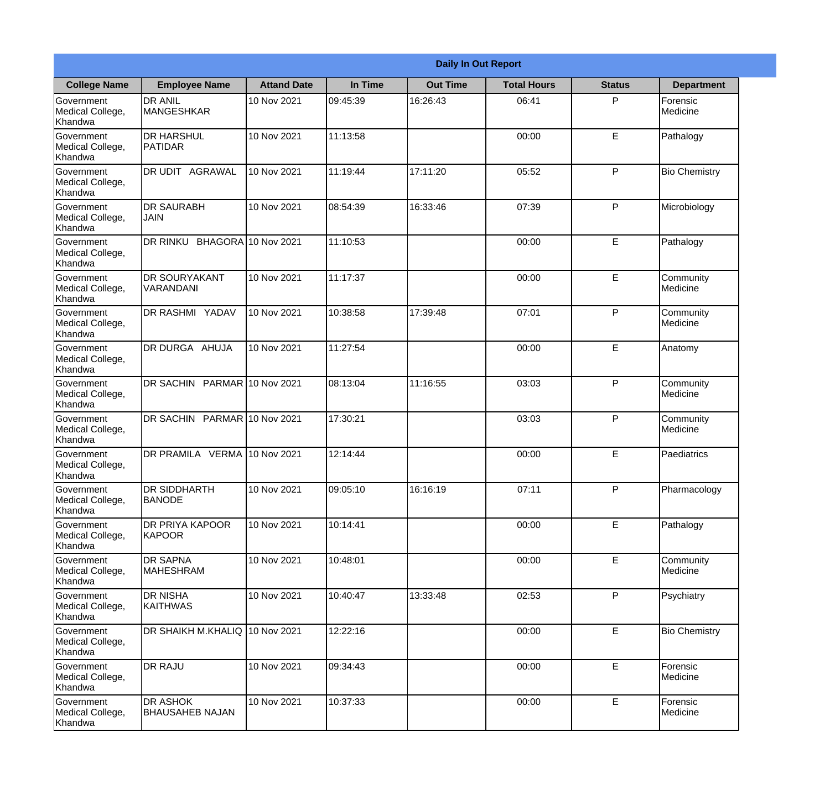|                                                  |                                           |                    |          | <b>Daily In Out Report</b> |                    |               |                              |
|--------------------------------------------------|-------------------------------------------|--------------------|----------|----------------------------|--------------------|---------------|------------------------------|
| <b>College Name</b>                              | <b>Employee Name</b>                      | <b>Attand Date</b> | In Time  | <b>Out Time</b>            | <b>Total Hours</b> | <b>Status</b> | <b>Department</b>            |
| Government<br>Medical College,<br>Khandwa        | <b>DR ANIL</b><br><b>MANGESHKAR</b>       | 10 Nov 2021        | 09:45:39 | 16:26:43                   | 06:41              | P             | Forensic<br>Medicine         |
| Government<br>Medical College,<br>Khandwa        | <b>DR HARSHUL</b><br>PATIDAR              | 10 Nov 2021        | 11:13:58 |                            | 00:00              | E             | Pathalogy                    |
| <b>Government</b><br>Medical College,<br>Khandwa | <b>IDR UDIT AGRAWAL</b>                   | 10 Nov 2021        | 11:19:44 | 17:11:20                   | 05:52              | P             | <b>Bio Chemistry</b>         |
| Government<br>Medical College,<br>Khandwa        | <b>IDR SAURABH</b><br><b>JAIN</b>         | 10 Nov 2021        | 08:54:39 | 16:33:46                   | 07:39              | P             | Microbiology                 |
| Government<br>Medical College,<br>Khandwa        | DR RINKU BHAGORA 10 Nov 2021              |                    | 11:10:53 |                            | 00:00              | E             | Pathalogy                    |
| Government<br>Medical College,<br>Khandwa        | <b>DR SOURYAKANT</b><br>VARANDANI         | 10 Nov 2021        | 11:17:37 |                            | 00:00              | E             | Community<br>Medicine        |
| Government<br>Medical College,<br>Khandwa        | <b>DR RASHMI YADAV</b>                    | 10 Nov 2021        | 10:38:58 | 17:39:48                   | 07:01              | P             | Community<br>Medicine        |
| Government<br>Medical College,<br>Khandwa        | DR DURGA AHUJA                            | 10 Nov 2021        | 11:27:54 |                            | 00:00              | E             | Anatomy                      |
| Government<br>Medical College,<br>Khandwa        | DR SACHIN PARMAR 10 Nov 2021              |                    | 08:13:04 | 11:16:55                   | 03:03              | P             | Community<br>Medicine        |
| Government<br>Medical College,<br>Khandwa        | DR SACHIN PARMAR 10 Nov 2021              |                    | 17:30:21 |                            | 03:03              | P             | Community<br><b>Medicine</b> |
| Government<br>Medical College,<br>Khandwa        | DR PRAMILA VERMA 10 Nov 2021              |                    | 12:14:44 |                            | 00:00              | E             | Paediatrics                  |
| Government<br>Medical College,<br>Khandwa        | <b>DR SIDDHARTH</b><br><b>BANODE</b>      | 10 Nov 2021        | 09:05:10 | 16:16:19                   | 07:11              | P             | Pharmacology                 |
| Government<br>Medical College,<br>Khandwa        | <b>DR PRIYA KAPOOR</b><br>KAPOOR          | 10 Nov 2021        | 10:14:41 |                            | 00:00              | E             | Pathalogy                    |
| Government<br>Medical College,<br>Khandwa        | <b>DR SAPNA</b><br><b>MAHESHRAM</b>       | 10 Nov 2021        | 10:48:01 |                            | 00:00              | E             | Community<br>Medicine        |
| Government<br>Medical College,<br>Khandwa        | <b>DR NISHA</b><br><b>KAITHWAS</b>        | 10 Nov 2021        | 10:40:47 | 13:33:48                   | 02:53              | $\mathsf{P}$  | Psychiatry                   |
| Government<br>Medical College,<br>Khandwa        | DR SHAIKH M.KHALIQ 10 Nov 2021            |                    | 12:22:16 |                            | 00:00              | $\mathsf E$   | <b>Bio Chemistry</b>         |
| Government<br>Medical College,<br>Khandwa        | <b>DR RAJU</b>                            | 10 Nov 2021        | 09:34:43 |                            | 00:00              | E             | Forensic<br>Medicine         |
| Government<br>Medical College,<br>Khandwa        | <b>DR ASHOK</b><br><b>BHAUSAHEB NAJAN</b> | 10 Nov 2021        | 10:37:33 |                            | 00:00              | E             | Forensic<br>Medicine         |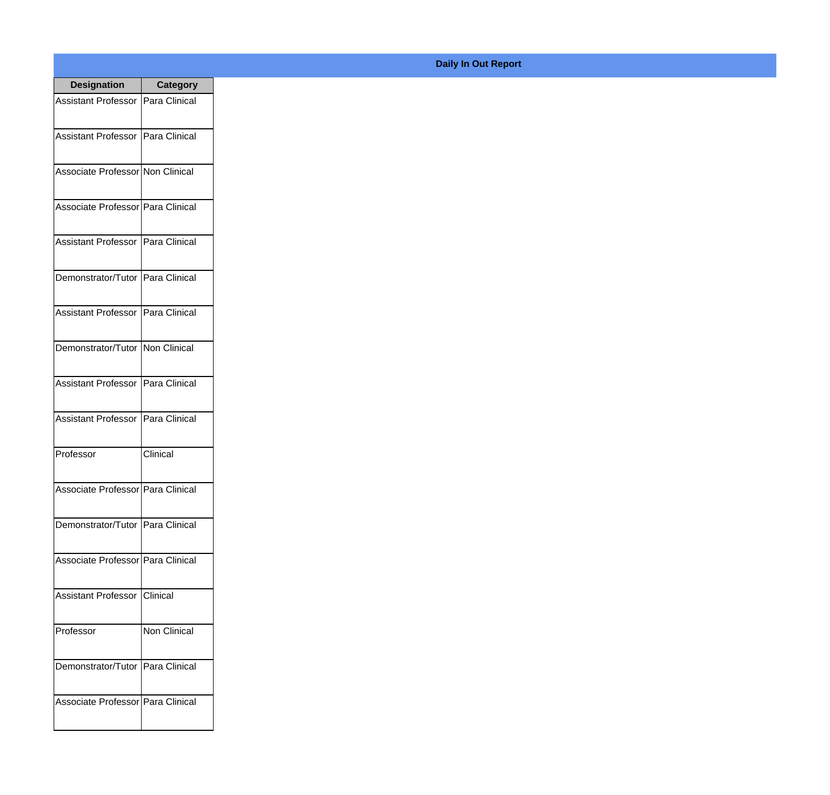| <b>Designation</b>                  | <b>Category</b>     |
|-------------------------------------|---------------------|
| Assistant Professor   Para Clinical |                     |
| Assistant Professor   Para Clinical |                     |
| Associate Professor Non Clinical    |                     |
| Associate Professor   Para Clinical |                     |
| Assistant Professor   Para Clinical |                     |
| Demonstrator/Tutor   Para Clinical  |                     |
| Assistant Professor   Para Clinical |                     |
| Demonstrator/Tutor   Non Clinical   |                     |
| Assistant Professor   Para Clinical |                     |
| <b>Assistant Professor</b>          | Para Clinical       |
| Professor                           | Clinical            |
| Associate Professor   Para Clinical |                     |
| Demonstrator/Tutor   Para Clinical  |                     |
| Associate Professor Para Clinical   |                     |
| Assistant Professor   Clinical      |                     |
| Professor                           | <b>Non Clinical</b> |
| Demonstrator/Tutor   Para Clinical  |                     |
| Associate Professor Para Clinical   |                     |

## **Daily In Out Report**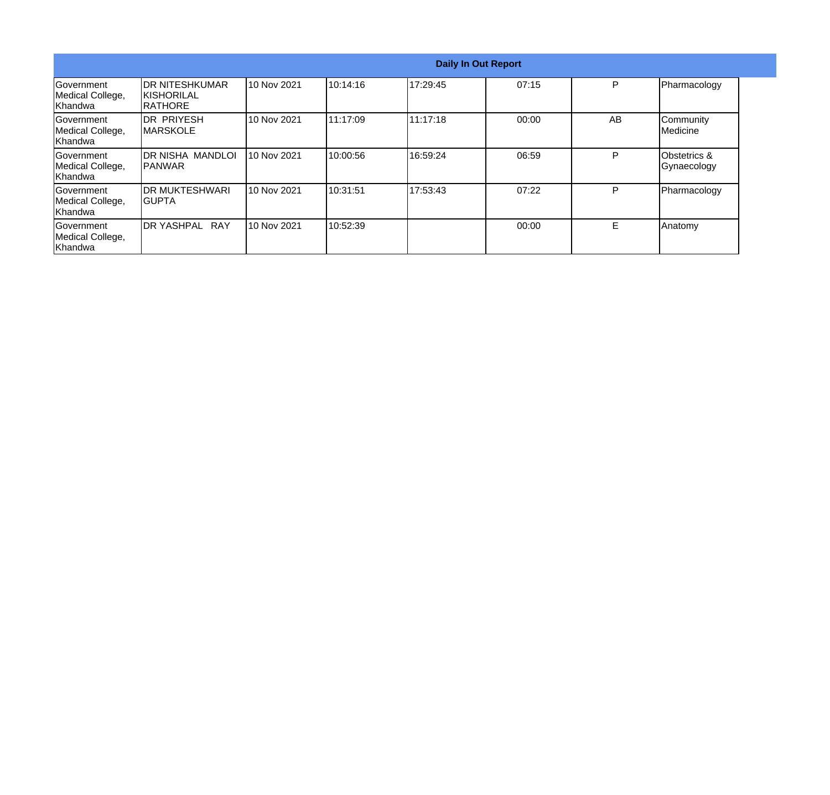|                                                   |                                                  |             |          |          | <b>Daily In Out Report</b> |    |                                        |
|---------------------------------------------------|--------------------------------------------------|-------------|----------|----------|----------------------------|----|----------------------------------------|
| lGovernment<br>Medical College,<br>lKhandwa       | IDR NITESHKUMAR<br><b>KISHORILAL</b><br>IRATHORE | 10 Nov 2021 | 10:14:16 | 17:29:45 | 07:15                      | P  | Pharmacology                           |
| Government<br>Medical College,<br>Khandwa         | IDR PRIYESH<br><b>IMARSKOLE</b>                  | 10 Nov 2021 | 11:17:09 | 11:17:18 | 00:00                      | AB | Community<br>Medicine                  |
| lGovernment<br>Medical College,<br><b>Khandwa</b> | IDR NISHA MANDLOI<br>IPANWAR                     | 10 Nov 2021 | 10:00:56 | 16:59:24 | 06:59                      | P  | <b>Obstetrics &amp;</b><br>Gynaecology |
| <b>Government</b><br>Medical College,<br>Khandwa  | <b>IDR MUKTESHWARI</b><br>IGUPTA                 | 10 Nov 2021 | 10:31:51 | 17:53:43 | 07:22                      | P  | Pharmacology                           |
| Government<br>Medical College,<br>Khandwa         | DR YASHPAL RAY                                   | 10 Nov 2021 | 10:52:39 |          | 00:00                      | Е  | Anatomy                                |